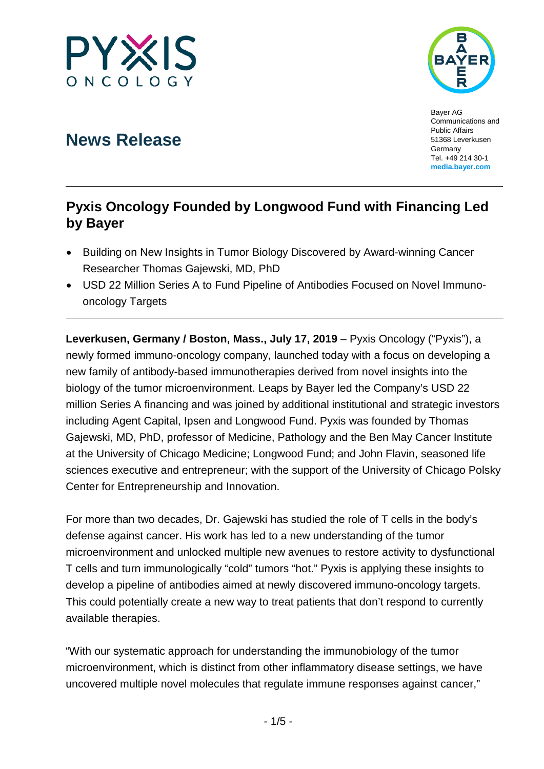



Bayer AG Communications and Public Affairs 51368 Leverkusen **Germany** Tel. +49 214 30-1 **[media.bayer.com](http://media.bayer.de/)**

# **News Release**

## **Pyxis Oncology Founded by Longwood Fund with Financing Led by Bayer**

- Building on New Insights in Tumor Biology Discovered by Award-winning Cancer Researcher Thomas Gajewski, MD, PhD
- USD 22 Million Series A to Fund Pipeline of Antibodies Focused on Novel Immunooncology Targets

**Leverkusen, Germany / Boston, Mass., July 17, 2019** – Pyxis Oncology ("Pyxis"), a newly formed immuno-oncology company, launched today with a focus on developing a new family of antibody-based immunotherapies derived from novel insights into the biology of the tumor microenvironment. Leaps by Bayer led the Company's USD 22 million Series A financing and was joined by additional institutional and strategic investors including Agent Capital, Ipsen and Longwood Fund. Pyxis was founded by Thomas Gajewski, MD, PhD, professor of Medicine, Pathology and the Ben May Cancer Institute at the University of Chicago Medicine; Longwood Fund; and John Flavin, seasoned life sciences executive and entrepreneur; with the support of the University of Chicago Polsky Center for Entrepreneurship and Innovation.

For more than two decades, Dr. Gajewski has studied the role of T cells in the body's defense against cancer. His work has led to a new understanding of the tumor microenvironment and unlocked multiple new avenues to restore activity to dysfunctional T cells and turn immunologically "cold" tumors "hot." Pyxis is applying these insights to develop a pipeline of antibodies aimed at newly discovered immuno-oncology targets. This could potentially create a new way to treat patients that don't respond to currently available therapies.

"With our systematic approach for understanding the immunobiology of the tumor microenvironment, which is distinct from other inflammatory disease settings, we have uncovered multiple novel molecules that regulate immune responses against cancer,"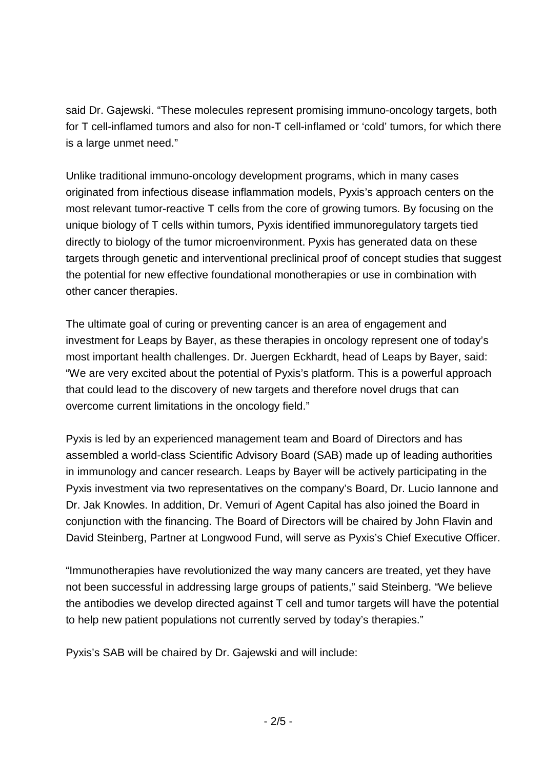said Dr. Gajewski. "These molecules represent promising immuno-oncology targets, both for T cell-inflamed tumors and also for non-T cell-inflamed or 'cold' tumors, for which there is a large unmet need."

Unlike traditional immuno-oncology development programs, which in many cases originated from infectious disease inflammation models, Pyxis's approach centers on the most relevant tumor-reactive T cells from the core of growing tumors. By focusing on the unique biology of T cells within tumors, Pyxis identified immunoregulatory targets tied directly to biology of the tumor microenvironment. Pyxis has generated data on these targets through genetic and interventional preclinical proof of concept studies that suggest the potential for new effective foundational monotherapies or use in combination with other cancer therapies.

The ultimate goal of curing or preventing cancer is an area of engagement and investment for Leaps by Bayer, as these therapies in oncology represent one of today's most important health challenges. Dr. Juergen Eckhardt, head of Leaps by Bayer, said: "We are very excited about the potential of Pyxis's platform. This is a powerful approach that could lead to the discovery of new targets and therefore novel drugs that can overcome current limitations in the oncology field."

Pyxis is led by an experienced management team and Board of Directors and has assembled a world-class Scientific Advisory Board (SAB) made up of leading authorities in immunology and cancer research. Leaps by Bayer will be actively participating in the Pyxis investment via two representatives on the company's Board, Dr. Lucio Iannone and Dr. Jak Knowles. In addition, Dr. Vemuri of Agent Capital has also joined the Board in conjunction with the financing. The Board of Directors will be chaired by John Flavin and David Steinberg, Partner at Longwood Fund, will serve as Pyxis's Chief Executive Officer.

"Immunotherapies have revolutionized the way many cancers are treated, yet they have not been successful in addressing large groups of patients," said Steinberg. "We believe the antibodies we develop directed against T cell and tumor targets will have the potential to help new patient populations not currently served by today's therapies."

Pyxis's SAB will be chaired by Dr. Gajewski and will include: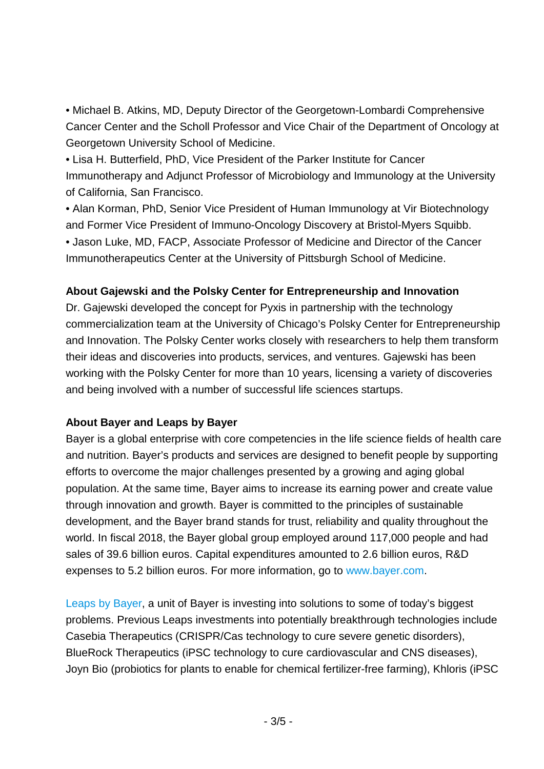• Michael B. Atkins, MD, Deputy Director of the Georgetown-Lombardi Comprehensive Cancer Center and the Scholl Professor and Vice Chair of the Department of Oncology at Georgetown University School of Medicine.

• Lisa H. Butterfield, PhD, Vice President of the Parker Institute for Cancer Immunotherapy and Adjunct Professor of Microbiology and Immunology at the University of California, San Francisco.

• Alan Korman, PhD, Senior Vice President of Human Immunology at Vir Biotechnology and Former Vice President of Immuno-Oncology Discovery at Bristol-Myers Squibb. • Jason Luke, MD, FACP, Associate Professor of Medicine and Director of the Cancer Immunotherapeutics Center at the University of Pittsburgh School of Medicine.

#### **About Gajewski and the Polsky Center for Entrepreneurship and Innovation**

Dr. Gajewski developed the concept for Pyxis in partnership with the technology commercialization team at the University of Chicago's Polsky Center for Entrepreneurship and Innovation. The Polsky Center works closely with researchers to help them transform their ideas and discoveries into products, services, and ventures. Gajewski has been working with the Polsky Center for more than 10 years, licensing a variety of discoveries and being involved with a number of successful life sciences startups.

### **About Bayer and Leaps by Bayer**

Bayer is a global enterprise with core competencies in the life science fields of health care and nutrition. Bayer's products and services are designed to benefit people by supporting efforts to overcome the major challenges presented by a growing and aging global population. At the same time, Bayer aims to increase its earning power and create value through innovation and growth. Bayer is committed to the principles of sustainable development, and the Bayer brand stands for trust, reliability and quality throughout the world. In fiscal 2018, the Bayer global group employed around 117,000 people and had sales of 39.6 billion euros. Capital expenditures amounted to 2.6 billion euros, R&D expenses to 5.2 billion euros. For more information, go to [www.bayer.com.](http://www.bayer.com/)

[Leaps by Bayer,](https://leaps.bayer.com/) a unit of Bayer is investing into solutions to some of today's biggest problems. Previous Leaps investments into potentially breakthrough technologies include Casebia Therapeutics (CRISPR/Cas technology to cure severe genetic disorders), BlueRock Therapeutics (iPSC technology to cure cardiovascular and CNS diseases), Joyn Bio (probiotics for plants to enable for chemical fertilizer-free farming), Khloris (iPSC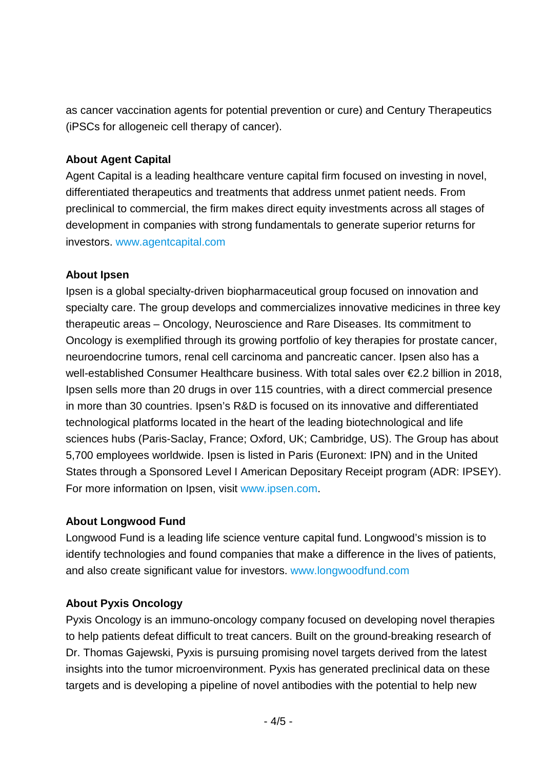as cancer vaccination agents for potential prevention or cure) and Century Therapeutics (iPSCs for allogeneic cell therapy of cancer).

#### **About Agent Capital**

Agent Capital is a leading healthcare venture capital firm focused on investing in novel, differentiated therapeutics and treatments that address unmet patient needs. From preclinical to commercial, the firm makes direct equity investments across all stages of development in companies with strong fundamentals to generate superior returns for investors. [www.agentcapital.com](http://www.agentcapital.com/)

#### **About Ipsen**

Ipsen is a global specialty-driven biopharmaceutical group focused on innovation and specialty care. The group develops and commercializes innovative medicines in three key therapeutic areas – Oncology, Neuroscience and Rare Diseases. Its commitment to Oncology is exemplified through its growing portfolio of key therapies for prostate cancer, neuroendocrine tumors, renal cell carcinoma and pancreatic cancer. Ipsen also has a well-established Consumer Healthcare business. With total sales over €2.2 billion in 2018, Ipsen sells more than 20 drugs in over 115 countries, with a direct commercial presence in more than 30 countries. Ipsen's R&D is focused on its innovative and differentiated technological platforms located in the heart of the leading biotechnological and life sciences hubs (Paris-Saclay, France; Oxford, UK; Cambridge, US). The Group has about 5,700 employees worldwide. Ipsen is listed in Paris (Euronext: IPN) and in the United States through a Sponsored Level I American Depositary Receipt program (ADR: IPSEY). For more information on Ipsen, visit [www.ipsen.com.](http://www.ipsen.com/)

#### **About Longwood Fund**

Longwood Fund is a leading life science venture capital fund. Longwood's mission is to identify technologies and found companies that make a difference in the lives of patients, and also create significant value for investors. [www.longwoodfund.com](http://www.longwoodfund.com/)

### **About Pyxis Oncology**

Pyxis Oncology is an immuno-oncology company focused on developing novel therapies to help patients defeat difficult to treat cancers. Built on the ground-breaking research of Dr. Thomas Gajewski, Pyxis is pursuing promising novel targets derived from the latest insights into the tumor microenvironment. Pyxis has generated preclinical data on these targets and is developing a pipeline of novel antibodies with the potential to help new